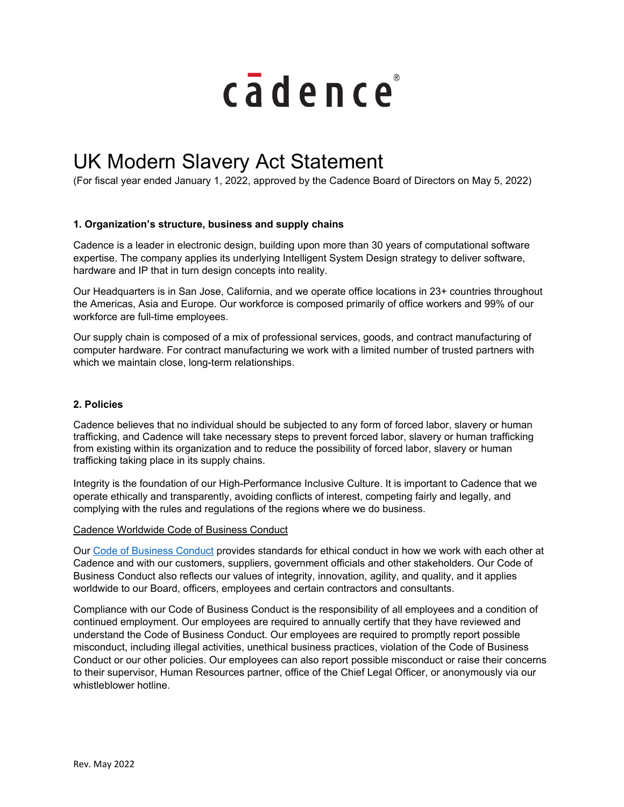

# UK Modern Slavery Act Statement

(For fiscal year ended January 1, 2022, approved by the Cadence Board of Directors on May 5, 2022)

## **1. Organization's structure, business and supply chains**

Cadence is a leader in electronic design, building upon more than 30 years of computational software expertise. The company applies its underlying Intelligent System Design strategy to deliver software, hardware and IP that in turn design concepts into reality.

Our Headquarters is in San Jose, California, and we operate office locations in 23+ countries throughout the Americas, Asia and Europe. Our workforce is composed primarily of office workers and 99% of our workforce are full-time employees.

Our supply chain is composed of a mix of professional services, goods, and contract manufacturing of computer hardware. For contract manufacturing we work with a limited number of trusted partners with which we maintain close, long-term relationships.

### **2. Policies**

Cadence believes that no individual should be subjected to any form of forced labor, slavery or human trafficking, and Cadence will take necessary steps to prevent forced labor, slavery or human trafficking from existing within its organization and to reduce the possibility of forced labor, slavery or human trafficking taking place in its supply chains.

Integrity is the foundation of our High-Performance Inclusive Culture. It is important to Cadence that we operate ethically and transparently, avoiding conflicts of interest, competing fairly and legally, and complying with the rules and regulations of the regions where we do business.

#### Cadence Worldwide Code of Business Conduct

Our Code of Business Conduct provides standards for ethical conduct in how we work with each other at Cadence and with our customers, suppliers, government officials and other stakeholders. Our Code of Business Conduct also reflects our values of integrity, innovation, agility, and quality, and it applies worldwide to our Board, officers, employees and certain contractors and consultants.

Compliance with our Code of Business Conduct is the responsibility of all employees and a condition of continued employment. Our employees are required to annually certify that they have reviewed and understand the Code of Business Conduct. Our employees are required to promptly report possible misconduct, including illegal activities, unethical business practices, violation of the Code of Business Conduct or our other policies. Our employees can also report possible misconduct or raise their concerns to their supervisor, Human Resources partner, office of the Chief Legal Officer, or anonymously via our whistleblower hotline.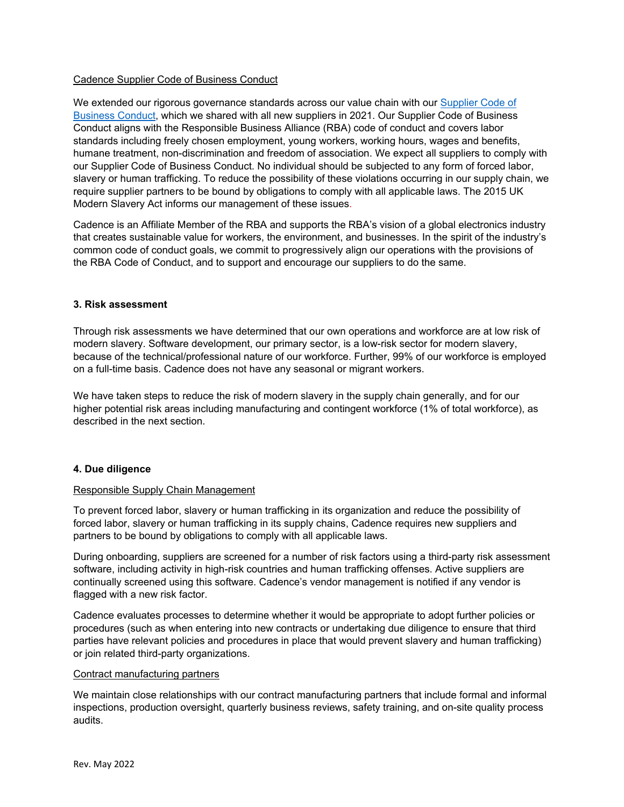### Cadence Supplier Code of Business Conduct

We extended our rigorous governance standards across our value chain with our Supplier Code of Business Conduct, which we shared with all new suppliers in 2021. Our Supplier Code of Business Conduct aligns with the Responsible Business Alliance (RBA) code of conduct and covers labor standards including freely chosen employment, young workers, working hours, wages and benefits, humane treatment, non-discrimination and freedom of association. We expect all suppliers to comply with our Supplier Code of Business Conduct. No individual should be subjected to any form of forced labor, slavery or human trafficking. To reduce the possibility of these violations occurring in our supply chain, we require supplier partners to be bound by obligations to comply with all applicable laws. The 2015 UK Modern Slavery Act informs our management of these issues.

Cadence is an Affiliate Member of the RBA and supports the RBA's vision of a global electronics industry that creates sustainable value for workers, the environment, and businesses. In the spirit of the industry's common code of conduct goals, we commit to progressively align our operations with the provisions of the RBA Code of Conduct, and to support and encourage our suppliers to do the same.

#### **3. Risk assessment**

Through risk assessments we have determined that our own operations and workforce are at low risk of modern slavery. Software development, our primary sector, is a low-risk sector for modern slavery, because of the technical/professional nature of our workforce. Further, 99% of our workforce is employed on a full-time basis. Cadence does not have any seasonal or migrant workers.

We have taken steps to reduce the risk of modern slavery in the supply chain generally, and for our higher potential risk areas including manufacturing and contingent workforce (1% of total workforce), as described in the next section.

#### **4. Due diligence**

#### Responsible Supply Chain Management

To prevent forced labor, slavery or human trafficking in its organization and reduce the possibility of forced labor, slavery or human trafficking in its supply chains, Cadence requires new suppliers and partners to be bound by obligations to comply with all applicable laws.

During onboarding, suppliers are screened for a number of risk factors using a third-party risk assessment software, including activity in high-risk countries and human trafficking offenses. Active suppliers are continually screened using this software. Cadence's vendor management is notified if any vendor is flagged with a new risk factor.

Cadence evaluates processes to determine whether it would be appropriate to adopt further policies or procedures (such as when entering into new contracts or undertaking due diligence to ensure that third parties have relevant policies and procedures in place that would prevent slavery and human trafficking) or join related third-party organizations.

#### Contract manufacturing partners

We maintain close relationships with our contract manufacturing partners that include formal and informal inspections, production oversight, quarterly business reviews, safety training, and on-site quality process audits.